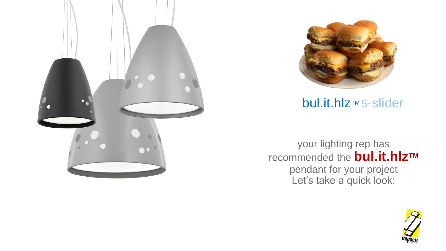



**bul.it.hlz**™5-slider

your lighting rep has recommended the **bul.it.hlzTM** pendant for your project Let's take a quick look:

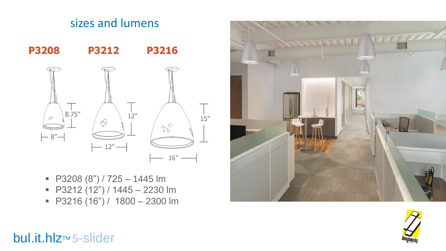

sizes and lumens

- $\blacksquare$  P3208 (8") / 725 1445 lm
- $\blacksquare$  P3212 (12") / 1445 2230 lm
- $\blacksquare$  P3216 (16") / 1800 2300 lm





### **bul.it.hlz**™5-slider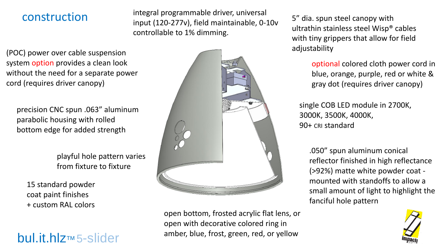### construction

integral programmable driver, universal input (120-277v), field maintainable, 0-10v controllable to 1% dimming.

(POC) power over cable suspension system option provides a clean look without the need for a separate power cord (requires driver canopy)

precision CNC spun .063" aluminum parabolic housing with rolled bottom edge for added strength

> playful hole pattern varies from fixture to fixture

15 standard powder coat paint finishes + custom RAL colors

**bul.it.hlz**™ 5-slider



open bottom, frosted acrylic flat lens, or open with decorative colored ring in amber, blue, frost, green, red, or yellow

5" dia. spun steel canopy with ultrathin stainless steel Wisp® cables with tiny grippers that allow for field adjustability

> optional colored cloth power cord in blue, orange, purple, red or white & gray dot (requires driver canopy)

single COB LED module in 2700K, 3000K, 3500K, 4000K, 90+ CRI standard

.050" spun aluminum conical reflector finished in high reflectance (>92%) matte white powder coat mounted with standoffs to allow a small amount of light to highlight the fanciful hole pattern

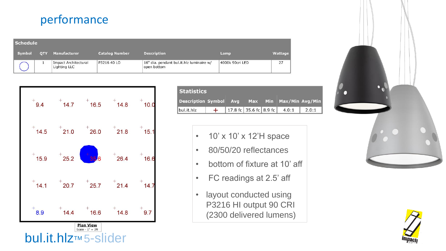# performance

| <b>Schedule</b> |            |                                             |                       |                                                         |                 |         |  |  |  |  |  |
|-----------------|------------|---------------------------------------------|-----------------------|---------------------------------------------------------|-----------------|---------|--|--|--|--|--|
| Symbol          | <b>OTY</b> | <b>Manufacturer</b>                         | <b>Catalog Number</b> | <b>Description</b>                                      | Lamp            | Wattage |  |  |  |  |  |
|                 |            | <b>Impact Architectural</b><br>Lighting LLC | P3216 40 LO           | 16" dia. pendant bul.it.hlz luminaire w/<br>open bottom | 4000k 90cri LED | 27      |  |  |  |  |  |



| <b>Statistics</b>             |  |  |  |  |                                    |                         |  |  |  |  |  |
|-------------------------------|--|--|--|--|------------------------------------|-------------------------|--|--|--|--|--|
| <b>Description Symbol Avg</b> |  |  |  |  |                                    | Max Min Max/Min Avg/Min |  |  |  |  |  |
| bul.it.hlz                    |  |  |  |  | 17.8 fc   35.6 fc   8.9 fc   4.0:1 | 2.0:1                   |  |  |  |  |  |

- 10' x 10' x 12'H space
- 80/50/20 reflectances
- bottom of fixture at 10' aff
- FC readings at 2.5' aff
- layout conducted using P3216 HI output 90 CRI (2300 delivered lumens)